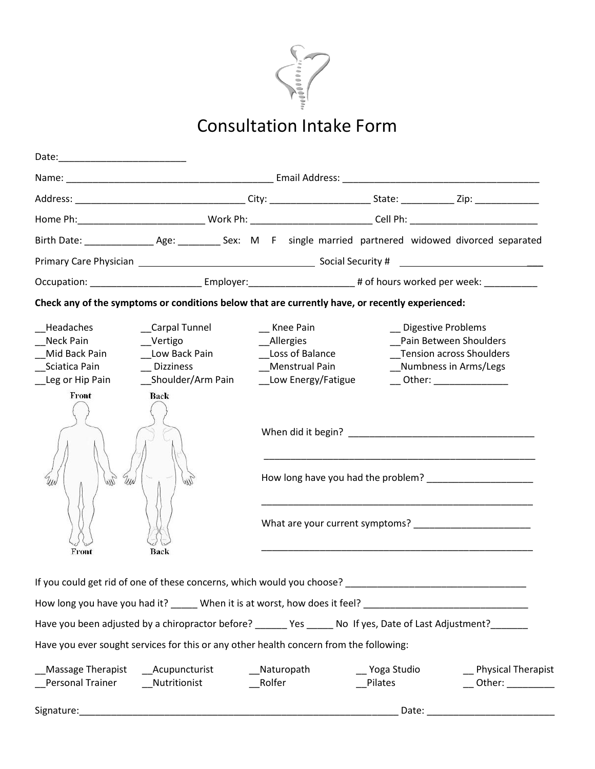

# **Consultation Intake Form**

|                                                                             |                                                                                                                                                         |                                             |                                                                                                                      | Home Ph:________________________________Work Ph: _____________________________Cell Ph: _____________________________                                 |  |
|-----------------------------------------------------------------------------|---------------------------------------------------------------------------------------------------------------------------------------------------------|---------------------------------------------|----------------------------------------------------------------------------------------------------------------------|------------------------------------------------------------------------------------------------------------------------------------------------------|--|
|                                                                             |                                                                                                                                                         |                                             |                                                                                                                      |                                                                                                                                                      |  |
|                                                                             |                                                                                                                                                         |                                             |                                                                                                                      |                                                                                                                                                      |  |
|                                                                             |                                                                                                                                                         |                                             | Occupation: ______________________________Employer:_________________________# of hours worked per week: ____________ |                                                                                                                                                      |  |
|                                                                             | Check any of the symptoms or conditions below that are currently have, or recently experienced:                                                         |                                             |                                                                                                                      |                                                                                                                                                      |  |
| Headaches<br>Neck Pain<br>Mid Back Pain<br>Sciatica Pain<br>Leg or Hip Pain | Carpal Tunnel<br>Vertigo<br>__Low Back Pain<br>__ Dizziness<br>__Shoulder/Arm Pain _______Low Energy/Fatigue _______Other: ____________________<br>Back | Knee Pain<br>Allergies<br>__Loss of Balance | __Menstrual Pain                                                                                                     | _ Digestive Problems<br>Pain Between Shoulders<br>_Tension across Shoulders<br>_Numbness in Arms/Legs                                                |  |
| Front<br>and<br>Uw<br>WW                                                    | aw                                                                                                                                                      |                                             |                                                                                                                      | When did it begin? Note that the state of the state of the state of the state of the state of the state of the<br>How long have you had the problem? |  |
| Front                                                                       | Back                                                                                                                                                    |                                             |                                                                                                                      |                                                                                                                                                      |  |
|                                                                             | If you could get rid of one of these concerns, which would you choose?                                                                                  |                                             |                                                                                                                      |                                                                                                                                                      |  |
|                                                                             |                                                                                                                                                         |                                             |                                                                                                                      |                                                                                                                                                      |  |
|                                                                             |                                                                                                                                                         |                                             |                                                                                                                      | Have you been adjusted by a chiropractor before? ______ Yes _____ No If yes, Date of Last Adjustment? ______                                         |  |
|                                                                             | Have you ever sought services for this or any other health concern from the following:                                                                  |                                             |                                                                                                                      |                                                                                                                                                      |  |
| Personal Trainer                                                            | Massage Therapist _____ Acupuncturist<br>Nutritionist                                                                                                   | Naturopath<br>Rolfer                        | __ Yoga Studio<br>Pilates                                                                                            | Physical Therapist<br>__ Other: __________                                                                                                           |  |
| Signature:                                                                  |                                                                                                                                                         |                                             | Date:                                                                                                                |                                                                                                                                                      |  |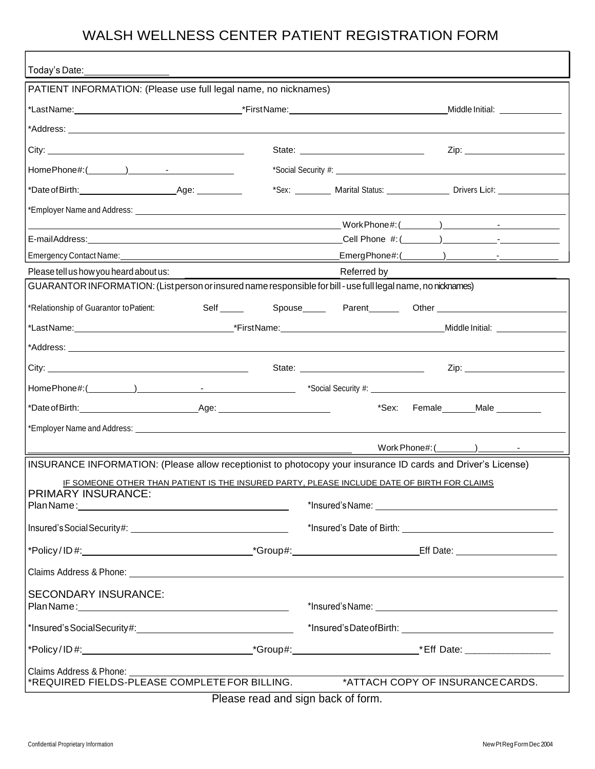### WALSH WELLNESS CENTER PATIENT REGISTRATION FORM

| Today's Date:                                                                                                 |                                                                                                                                                                                                                                      |
|---------------------------------------------------------------------------------------------------------------|--------------------------------------------------------------------------------------------------------------------------------------------------------------------------------------------------------------------------------------|
| PATIENT INFORMATION: (Please use full legal name, no nicknames)                                               |                                                                                                                                                                                                                                      |
|                                                                                                               | Middle Initial: _______________                                                                                                                                                                                                      |
|                                                                                                               |                                                                                                                                                                                                                                      |
|                                                                                                               | Zip: _________________________                                                                                                                                                                                                       |
|                                                                                                               |                                                                                                                                                                                                                                      |
|                                                                                                               | *Sex: Marital Status: Drivers Lic#:                                                                                                                                                                                                  |
|                                                                                                               |                                                                                                                                                                                                                                      |
|                                                                                                               |                                                                                                                                                                                                                                      |
|                                                                                                               |                                                                                                                                                                                                                                      |
|                                                                                                               |                                                                                                                                                                                                                                      |
| Please tell us how you heard about us:                                                                        | Referred by                                                                                                                                                                                                                          |
| GUARANTOR INFORMATION: (List person or insured name responsible for bill - use full legal name, no nicknames) |                                                                                                                                                                                                                                      |
| *Relationship of Guarantor to Patient:                                                                        |                                                                                                                                                                                                                                      |
|                                                                                                               |                                                                                                                                                                                                                                      |
|                                                                                                               |                                                                                                                                                                                                                                      |
|                                                                                                               |                                                                                                                                                                                                                                      |
|                                                                                                               |                                                                                                                                                                                                                                      |
|                                                                                                               | *Sex: Female_______Male _________                                                                                                                                                                                                    |
|                                                                                                               |                                                                                                                                                                                                                                      |
|                                                                                                               |                                                                                                                                                                                                                                      |
|                                                                                                               | INSURANCE INFORMATION: (Please allow receptionist to photocopy your insurance ID cards and Driver's License)                                                                                                                         |
|                                                                                                               | IF SOMEONE OTHER THAN PATIENT IS THE INSURED PARTY. PLEASE INCLUDE DATE OF BIRTH FOR CLAIMS                                                                                                                                          |
| <b>PRIMARY INSURANCE:</b>                                                                                     |                                                                                                                                                                                                                                      |
|                                                                                                               |                                                                                                                                                                                                                                      |
|                                                                                                               |                                                                                                                                                                                                                                      |
|                                                                                                               |                                                                                                                                                                                                                                      |
|                                                                                                               | Claims Address & Phone: <u>example and a series of the series of the series of the series of the series of the series of the series of the series of the series of the series of the series of the series of the series of the s</u> |
| <b>SECONDARY INSURANCE:</b>                                                                                   |                                                                                                                                                                                                                                      |
|                                                                                                               |                                                                                                                                                                                                                                      |
|                                                                                                               |                                                                                                                                                                                                                                      |
|                                                                                                               |                                                                                                                                                                                                                                      |
| Claims Address & Phone:                                                                                       |                                                                                                                                                                                                                                      |
|                                                                                                               |                                                                                                                                                                                                                                      |
|                                                                                                               | Please read and sign back of form.                                                                                                                                                                                                   |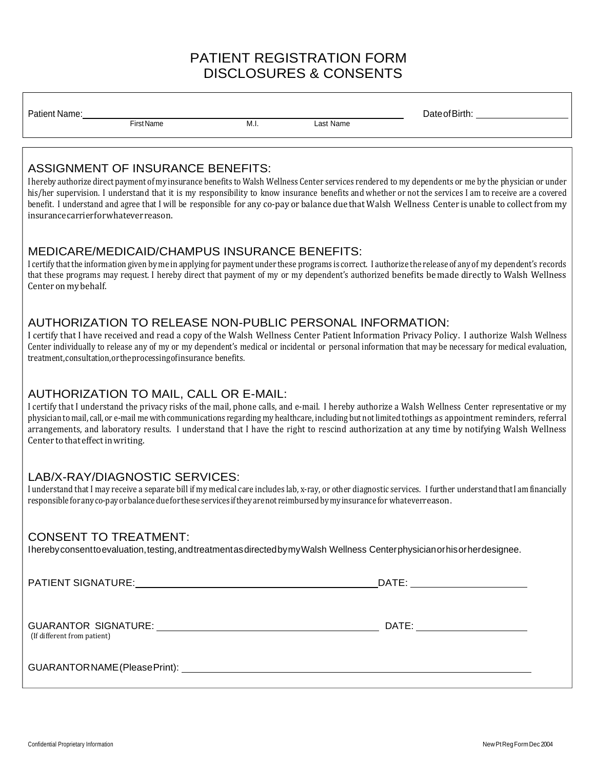### **PATIENT REGISTRATION FORM DISCLOSURES & CONSENTS**

| Patient Name: |            |      |           |  | าate ∩t |
|---------------|------------|------|-----------|--|---------|
|               | First Name | M.I. | Last Name |  |         |
|               |            |      |           |  |         |

#### **ASSIGNMENT OF INSURANCE BENEFITS:**

I hereby authorize direct payment of my insurance benefits to Walsh Wellness Center services rendered to my dependents or me by the physician or under his/her supervision. I understand that it is my responsibility to know insurance benefits and whether or not the services I am to receive are a covered benefit. I understand and agree that I will be responsible for any co-pay or balance due that Walsh Wellness Center is unable to collect from my insurance carrier for whatever reason.

#### MEDICARE/MEDICAID/CHAMPUS INSURANCE BENEFITS:

I certify that the information given by me in applying for payment under these programs is correct. I authorize the release of any of my dependent's records that these programs may request. I hereby direct that payment of my or my dependent's authorized benefits be made directly to Walsh Wellness Center on my behalf.

#### AUTHORIZATION TO RELEASE NON-PUBLIC PERSONAL INFORMATION:

I certify that I have received and read a copy of the Walsh Wellness Center Patient Information Privacy Policy. I authorize Walsh Wellness Center individually to release any of my or my dependent's medical or incidental or personal information that may be necessary for medical evaluation, treatment, consultation, or the processing of insurance benefits.

#### AUTHORIZATION TO MAIL, CALL OR E-MAIL:

I certify that I understand the privacy risks of the mail, phone calls, and e-mail. I hereby authorize a Walsh Wellness Center representative or my physician to mail, call, or e-mail me with communications regarding my healthcare, including but not limited to things as appointment reminders, referral arrangements, and laboratory results. I understand that I have the right to rescind authorization at any time by notifying Walsh Wellness Center to that effect in writing.

#### LAB/X-RAY/DIAGNOSTIC SERVICES:

I understand that I may receive a separate bill if my medical care includes lab, x-ray, or other diagnostic services. I further understand that I am financially responsible for any co-pay or balance due for these services if they are not reimbursed by my insurance for whateverreason.

#### **CONSENT TO TREATMENT:**

Ihereby consent to evaluation, testing, and treatment as directed by my Walsh Wellness Center physician or his or her designee.

(If different from patient)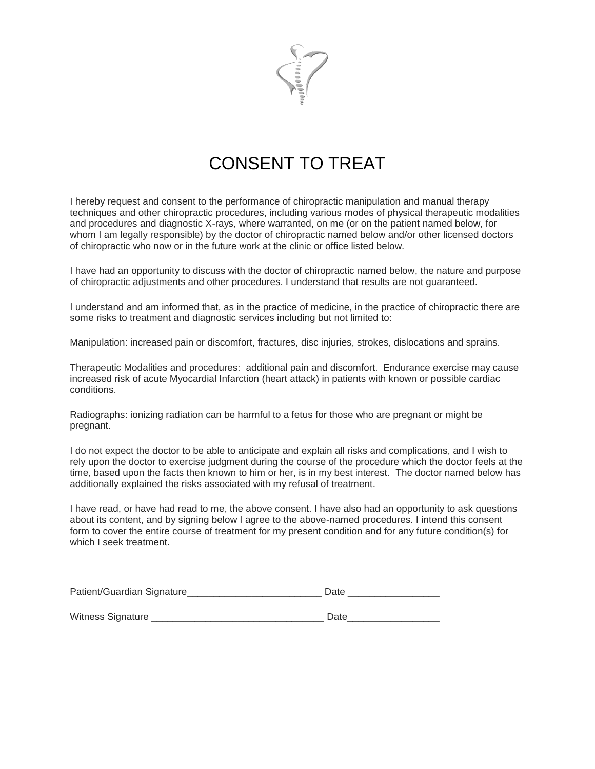

## **CONSENT TO TREAT**

I hereby request and consent to the performance of chiropractic manipulation and manual therapy techniques and other chiropractic procedures, including various modes of physical therapeutic modalities and procedures and diagnostic X-rays, where warranted, on me (or on the patient named below, for whom I am legally responsible) by the doctor of chiropractic named below and/or other licensed doctors of chiropractic who now or in the future work at the clinic or office listed below.

I have had an opportunity to discuss with the doctor of chiropractic named below, the nature and purpose of chiropractic adjustments and other procedures. I understand that results are not quaranteed.

I understand and am informed that, as in the practice of medicine, in the practice of chiropractic there are some risks to treatment and diagnostic services including but not limited to:

Manipulation: increased pain or discomfort, fractures, disc injuries, strokes, dislocations and sprains.

Therapeutic Modalities and procedures: additional pain and discomfort. Endurance exercise may cause increased risk of acute Myocardial Infarction (heart attack) in patients with known or possible cardiac conditions.

Radiographs: ionizing radiation can be harmful to a fetus for those who are pregnant or might be pregnant.

I do not expect the doctor to be able to anticipate and explain all risks and complications, and I wish to rely upon the doctor to exercise judgment during the course of the procedure which the doctor feels at the time, based upon the facts then known to him or her, is in my best interest. The doctor named below has additionally explained the risks associated with my refusal of treatment.

I have read, or have had read to me, the above consent. I have also had an opportunity to ask questions about its content, and by signing below I agree to the above-named procedures. I intend this consent form to cover the entire course of treatment for my present condition and for any future condition(s) for which I seek treatment.

| Patient/Guardian Signature | Date |  |
|----------------------------|------|--|
|                            |      |  |
| Witness Signature          | Date |  |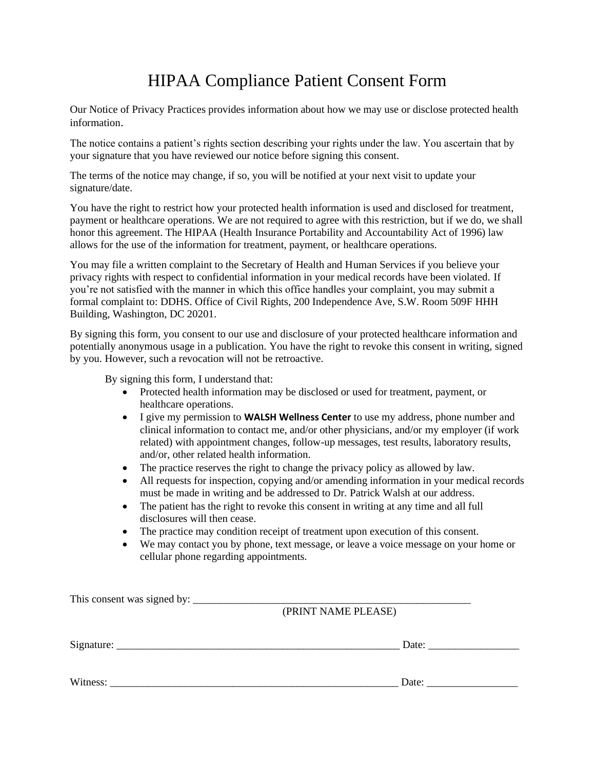## **HIPAA Compliance Patient Consent Form**

Our Notice of Privacy Practices provides information about how we may use or disclose protected health information.

The notice contains a patient's rights section describing your rights under the law. You ascertain that by your signature that you have reviewed our notice before signing this consent.

The terms of the notice may change, if so, you will be notified at your next visit to update your signature/date.

You have the right to restrict how your protected health information is used and disclosed for treatment, payment or healthcare operations. We are not required to agree with this restriction, but if we do, we shall honor this agreement. The HIPAA (Health Insurance Portability and Accountability Act of 1996) law allows for the use of the information for treatment, payment, or healthcare operations.

You may file a written complaint to the Secretary of Health and Human Services if you believe your privacy rights with respect to confidential information in your medical records have been violated. If you're not satisfied with the manner in which this office handles your complaint, you may submit a formal complaint to: DDHS. Office of Civil Rights, 200 Independence Ave, S.W. Room 509F HHH Building, Washington, DC 20201.

By signing this form, you consent to our use and disclosure of your protected healthcare information and potentially anonymous usage in a publication. You have the right to revoke this consent in writing, signed by you. However, such a revocation will not be retroactive.

By signing this form, I understand that:

- Protected health information may be disclosed or used for treatment, payment, or healthcare operations.
- I give my permission to **WALSH Wellness Center** to use my address, phone number and clinical information to contact me, and/or other physicians, and/or my employer (if work related) with appointment changes, follow-up messages, test results, laboratory results, and/or, other related health information.
- The practice reserves the right to change the privacy policy as allowed by law.  $\bullet$
- All requests for inspection, copying and/or amending information in your medical records  $\bullet$ must be made in writing and be addressed to Dr. Patrick Walsh at our address.
- $\bullet$ The patient has the right to revoke this consent in writing at any time and all full disclosures will then cease.
- The practice may condition receipt of treatment upon execution of this consent.
- $\bullet$ We may contact you by phone, text message, or leave a voice message on your home or cellular phone regarding appointments.

| (PRINT NAME PLEASE)   |  |
|-----------------------|--|
| Date:                 |  |
| Date: $\qquad \qquad$ |  |